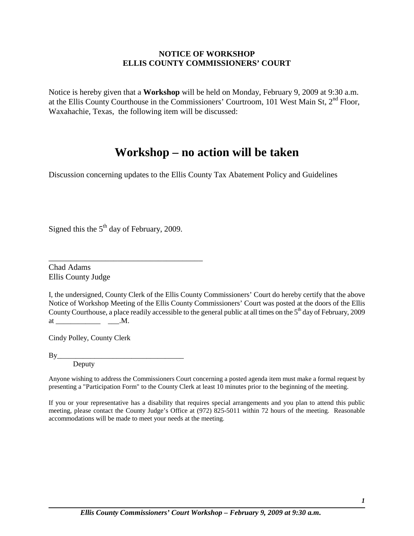## **NOTICE OF WORKSHOP ELLIS COUNTY COMMISSIONERS' COURT**

Notice is hereby given that a **Workshop** will be held on Monday, February 9, 2009 at 9:30 a.m. at the Ellis County Courthouse in the Commissioners' Courtroom, 101 West Main St, 2<sup>nd</sup> Floor, Waxahachie, Texas, the following item will be discussed:

# **Workshop – no action will be taken**

Discussion concerning updates to the Ellis County Tax Abatement Policy and Guidelines

Signed this the  $5<sup>th</sup>$  day of February, 2009.

\_\_\_\_\_\_\_\_\_\_\_\_\_\_\_\_\_\_\_\_\_\_\_\_\_\_\_\_\_\_\_\_\_\_\_\_\_\_

Chad Adams Ellis County Judge

| I, the undersigned, County Clerk of the Ellis County Commissioners' Court do hereby certify that the above                    |
|-------------------------------------------------------------------------------------------------------------------------------|
| Notice of Workshop Meeting of the Ellis County Commissioners' Court was posted at the doors of the Ellis                      |
| County Courthouse, a place readily accessible to the general public at all times on the 5 <sup>th</sup> day of February, 2009 |
| at<br>.M.                                                                                                                     |

Cindy Polley, County Clerk

By\_\_\_\_\_\_\_\_\_\_\_\_\_\_\_\_\_\_\_\_\_\_\_\_\_\_\_\_\_\_\_\_\_\_ **Deputy** 

Anyone wishing to address the Commissioners Court concerning a posted agenda item must make a formal request by presenting a "Participation Form" to the County Clerk at least 10 minutes prior to the beginning of the meeting.

If you or your representative has a disability that requires special arrangements and you plan to attend this public meeting, please contact the County Judge's Office at (972) 825-5011 within 72 hours of the meeting. Reasonable accommodations will be made to meet your needs at the meeting.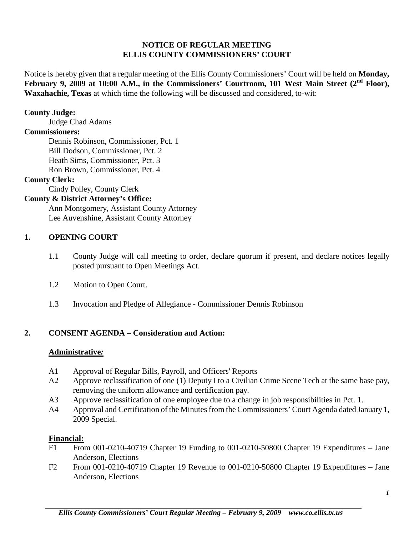# **NOTICE OF REGULAR MEETING ELLIS COUNTY COMMISSIONERS' COURT**

Notice is hereby given that a regular meeting of the Ellis County Commissioners' Court will be held on **Monday,**  February 9, 2009 at 10:00 A.M., in the Commissioners' Courtroom, 101 West Main Street (2<sup>nd</sup> Floor), **Waxahachie, Texas** at which time the following will be discussed and considered, to-wit:

## **County Judge:**

Judge Chad Adams

#### **Commissioners:**

Dennis Robinson, Commissioner, Pct. 1 Bill Dodson, Commissioner, Pct. 2 Heath Sims, Commissioner, Pct. 3 Ron Brown, Commissioner, Pct. 4

## **County Clerk:**

Cindy Polley, County Clerk

# **County & District Attorney's Office:**

Ann Montgomery, Assistant County Attorney Lee Auvenshine, Assistant County Attorney

#### **1. OPENING COURT**

- 1.1 County Judge will call meeting to order, declare quorum if present, and declare notices legally posted pursuant to Open Meetings Act.
- 1.2 Motion to Open Court.
- 1.3 Invocation and Pledge of Allegiance Commissioner Dennis Robinson

# **2. CONSENT AGENDA – Consideration and Action:**

## **Administrative***:*

- A1 Approval of Regular Bills, Payroll, and Officers' Reports
- A2 Approve reclassification of one (1) Deputy I to a Civilian Crime Scene Tech at the same base pay, removing the uniform allowance and certification pay.
- A3 Approve reclassification of one employee due to a change in job responsibilities in Pct. 1.
- A4 Approval and Certification of the Minutes from the Commissioners' Court Agenda dated January 1, 2009 Special.

#### **Financial:**

- F1 From 001-0210-40719 Chapter 19 Funding to 001-0210-50800 Chapter 19 Expenditures Jane Anderson, Elections
- F2 From 001-0210-40719 Chapter 19 Revenue to 001-0210-50800 Chapter 19 Expenditures Jane Anderson, Elections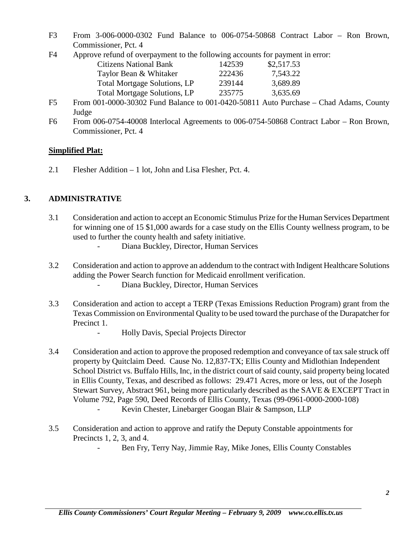F3 From 3-006-0000-0302 Fund Balance to 006-0754-50868 Contract Labor – Ron Brown, Commissioner, Pct. 4

| F4 | Approve refund of overpayment to the following accounts for payment in error: |  |  |
|----|-------------------------------------------------------------------------------|--|--|
|    |                                                                               |  |  |
|    |                                                                               |  |  |
|    |                                                                               |  |  |

| <b>Citizens National Bank</b>       | 142539 | \$2,517.53 |
|-------------------------------------|--------|------------|
| Taylor Bean & Whitaker              | 222436 | 7,543.22   |
| <b>Total Mortgage Solutions, LP</b> | 239144 | 3,689.89   |
| <b>Total Mortgage Solutions, LP</b> | 235775 | 3,635.69   |
|                                     |        |            |

- F5 From 001-0000-30302 Fund Balance to 001-0420-50811 Auto Purchase Chad Adams, County Judge
- F6 From 006-0754-40008 Interlocal Agreements to 006-0754-50868 Contract Labor Ron Brown, Commissioner, Pct. 4

# **Simplified Plat:**

2.1 Flesher Addition – 1 lot, John and Lisa Flesher, Pct. 4.

# **3. ADMINISTRATIVE**

- 3.1 Consideration and action to accept an Economic Stimulus Prize for the Human Services Department for winning one of 15 \$1,000 awards for a case study on the Ellis County wellness program, to be used to further the county health and safety initiative.
	- Diana Buckley, Director, Human Services
- 3.2 Consideration and action to approve an addendum to the contract with Indigent Healthcare Solutions adding the Power Search function for Medicaid enrollment verification.
	- Diana Buckley, Director, Human Services
- 3.3 Consideration and action to accept a TERP (Texas Emissions Reduction Program) grant from the Texas Commission on Environmental Quality to be used toward the purchase of the Durapatcher for Precinct 1.
	- Holly Davis, Special Projects Director
- 3.4 Consideration and action to approve the proposed redemption and conveyance of tax sale struck off property by Quitclaim Deed. Cause No. 12,837-TX; Ellis County and Midlothian Independent School District vs. Buffalo Hills, Inc, in the district court of said county, said property being located in Ellis County, Texas, and described as follows: 29.471 Acres, more or less, out of the Joseph Stewart Survey, Abstract 961, being more particularly described as the SAVE & EXCEPT Tract in Volume 792, Page 590, Deed Records of Ellis County, Texas (99-0961-0000-2000-108) Kevin Chester, Linebarger Googan Blair & Sampson, LLP
- 3.5 Consideration and action to approve and ratify the Deputy Constable appointments for Precincts 1, 2, 3, and 4.
	- Ben Fry, Terry Nay, Jimmie Ray, Mike Jones, Ellis County Constables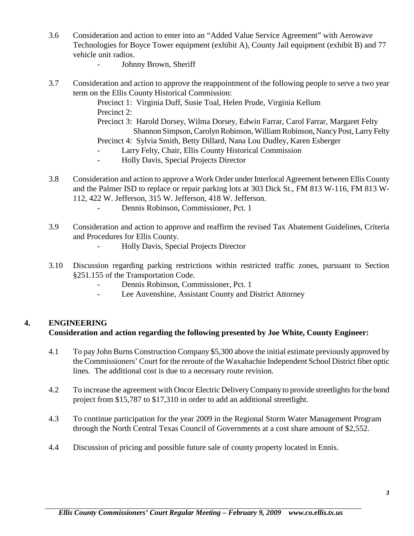- 3.6 Consideration and action to enter into an "Added Value Service Agreement" with Aerowave Technologies for Boyce Tower equipment (exhibit A), County Jail equipment (exhibit B) and 77 vehicle unit radios.
	- Johnny Brown, Sheriff
- 3.7 Consideration and action to approve the reappointment of the following people to serve a two year term on the Ellis County Historical Commission:
	- Precinct 1: Virginia Duff, Susie Toal, Helen Prude, Virginia Kellum Precinct 2:
	- Precinct 3: Harold Dorsey, Wilma Dorsey, Edwin Farrar, Carol Farrar, Margaret Felty Shannon Simpson, Carolyn Robinson, William Robinson, Nancy Post, Larry Felty
	- Precinct 4: Sylvia Smith, Betty Dillard, Nana Lou Dudley, Karen Esberger
	- Larry Felty, Chair, Ellis County Historical Commission
	- Holly Davis, Special Projects Director
- 3.8 Consideration and action to approve a Work Order under Interlocal Agreement between Ellis County and the Palmer ISD to replace or repair parking lots at 303 Dick St., FM 813 W-116, FM 813 W-112, 422 W. Jefferson, 315 W. Jefferson, 418 W. Jefferson.
	- Dennis Robinson, Commissioner, Pct. 1
- 3.9 Consideration and action to approve and reaffirm the revised Tax Abatement Guidelines, Criteria and Procedures for Ellis County.
	- Holly Davis, Special Projects Director
- 3.10 Discussion regarding parking restrictions within restricted traffic zones, pursuant to Section §251.155 of the Transportation Code.
	- Dennis Robinson, Commissioner, Pct. 1
	- Lee Auvenshine, Assistant County and District Attorney

## **4. ENGINEERING**

## **Consideration and action regarding the following presented by Joe White, County Engineer:**

- 4.1 To pay John Burns Construction Company \$5,300 above the initial estimate previously approved by the Commissioners' Court for the reroute of the Waxahachie Independent School District fiber optic lines. The additional cost is due to a necessary route revision.
- 4.2 To increase the agreement with Oncor Electric Delivery Company to provide streetlights for the bond project from \$15,787 to \$17,310 in order to add an additional streetlight.
- 4.3 To continue participation for the year 2009 in the Regional Storm Water Management Program through the North Central Texas Council of Governments at a cost share amount of \$2,552.
- 4.4 Discussion of pricing and possible future sale of county property located in Ennis.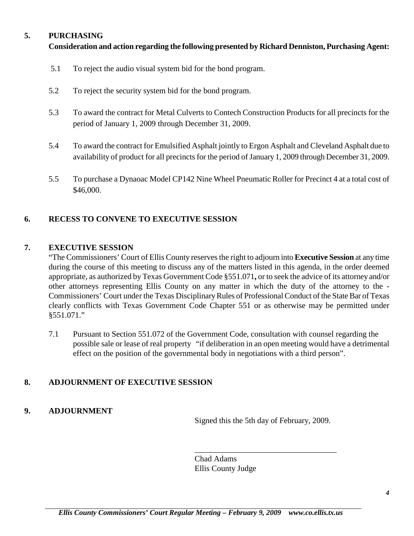# **5. PURCHASING**

# **Consideration and action regarding the following presented by Richard Denniston, Purchasing Agent:**

- 5.1 To reject the audio visual system bid for the bond program.
- 5.2 To reject the security system bid for the bond program.
- 5.3 To award the contract for Metal Culverts to Contech Construction Products for all precincts for the period of January 1, 2009 through December 31, 2009.
- 5.4 To award the contract for Emulsified Asphalt jointly to Ergon Asphalt and Cleveland Asphalt due to availability of product for all precincts for the period of January 1, 2009 through December 31, 2009.
- 5.5 To purchase a Dynaoac Model CP142 Nine Wheel Pneumatic Roller for Precinct 4 at a total cost of \$46,000.

# **6. RECESS TO CONVENE TO EXECUTIVE SESSION**

## **7. EXECUTIVE SESSION**

"The Commissioners' Court of Ellis County reserves the right to adjourn into **Executive Session** at any time during the course of this meeting to discuss any of the matters listed in this agenda, in the order deemed appropriate, as authorized by Texas Government Code §551.071**,** or to seek the advice of its attorney and/or other attorneys representing Ellis County on any matter in which the duty of the attorney to the - Commissioners' Court under the Texas Disciplinary Rules of Professional Conduct of the State Bar of Texas clearly conflicts with Texas Government Code Chapter 551 or as otherwise may be permitted under §551.071."

7.1 Pursuant to Section 551.072 of the Government Code, consultation with counsel regarding the possible sale or lease of real property "if deliberation in an open meeting would have a detrimental effect on the position of the governmental body in negotiations with a third person".

## **8. ADJOURNMENT OF EXECUTIVE SESSION**

**9. ADJOURNMENT**

Signed this the 5th day of February, 2009.

\_\_\_\_\_\_\_\_\_\_\_\_\_\_\_\_\_\_\_\_\_\_\_\_\_\_\_\_\_\_\_\_\_\_\_

Chad Adams Ellis County Judge